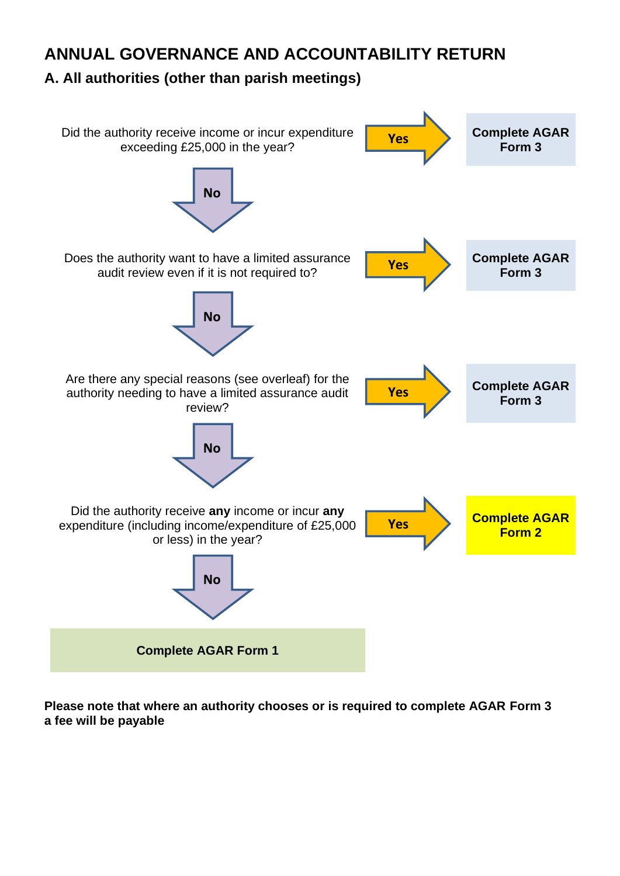# **ANNUAL GOVERNANCE AND ACCOUNTABILITY RETURN**

# **A. All authorities (other than parish meetings)**



**Please note that where an authority chooses or is required to complete AGAR Form 3 a fee will be payable**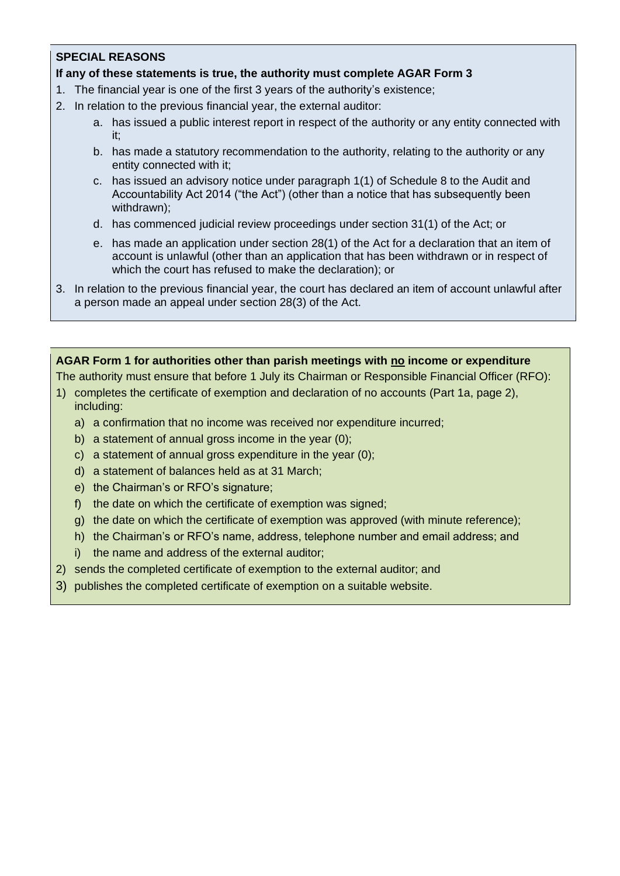## **SPECIAL REASONS**

#### **If any of these statements is true, the authority must complete AGAR Form 3**

- 1. The financial year is one of the first 3 years of the authority's existence;
- 2. In relation to the previous financial year, the external auditor:
	- a. has issued a public interest report in respect of the authority or any entity connected with it;
	- b. has made a statutory recommendation to the authority, relating to the authority or any entity connected with it;
	- c. has issued an advisory notice under paragraph 1(1) of Schedule 8 to the Audit and Accountability Act 2014 ("the Act") (other than a notice that has subsequently been withdrawn);
	- d. has commenced judicial review proceedings under section 31(1) of the Act; or
	- e. has made an application under section 28(1) of the Act for a declaration that an item of account is unlawful (other than an application that has been withdrawn or in respect of which the court has refused to make the declaration); or
- 3. In relation to the previous financial year, the court has declared an item of account unlawful after a person made an appeal under section 28(3) of the Act.

#### **AGAR Form 1 for authorities other than parish meetings with no income or expenditure**

The authority must ensure that before 1 July its Chairman or Responsible Financial Officer (RFO):

- 1) completes the certificate of exemption and declaration of no accounts (Part 1a, page 2), including:
	- a) a confirmation that no income was received nor expenditure incurred;
	- b) a statement of annual gross income in the year (0);
	- c) a statement of annual gross expenditure in the year (0);
	- d) a statement of balances held as at 31 March;
	- e) the Chairman's or RFO's signature;
	- f) the date on which the certificate of exemption was signed;
	- g) the date on which the certificate of exemption was approved (with minute reference);
	- h) the Chairman's or RFO's name, address, telephone number and email address; and
	- i) the name and address of the external auditor;
- 2) sends the completed certificate of exemption to the external auditor; and
- 3) publishes the completed certificate of exemption on a suitable website.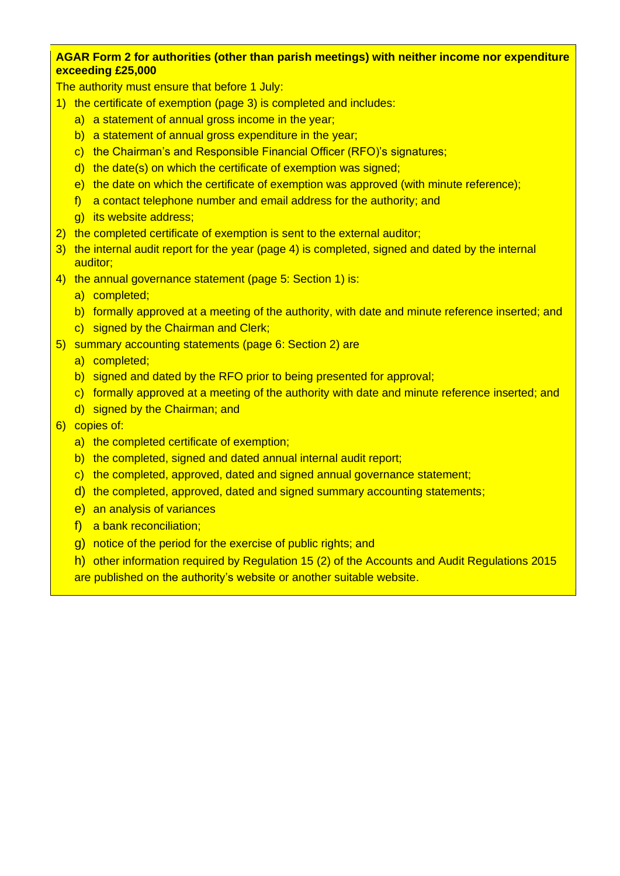#### **AGAR Form 2 for authorities (other than parish meetings) with neither income nor expenditure exceeding £25,000**

The authority must ensure that before 1 July:

- 1) the certificate of exemption (page 3) is completed and includes:
	- a) a statement of annual gross income in the year;
	- b) a statement of annual gross expenditure in the year;
	- c) the Chairman's and Responsible Financial Officer (RFO)'s signatures;
	- d) the date(s) on which the certificate of exemption was signed;
	- e) the date on which the certificate of exemption was approved (with minute reference);
	- f) a contact telephone number and email address for the authority; and
	- g) its website address;
- 2) the completed certificate of exemption is sent to the external auditor;
- 3) the internal audit report for the year (page 4) is completed, signed and dated by the internal auditor;
- 4) the annual governance statement (page 5: Section 1) is:
	- a) completed;
	- b) formally approved at a meeting of the authority, with date and minute reference inserted; and
	- c) signed by the Chairman and Clerk;
- 5) summary accounting statements (page 6: Section 2) are
	- a) completed;
	- b) signed and dated by the RFO prior to being presented for approval;
	- c) formally approved at a meeting of the authority with date and minute reference inserted; and
	- d) signed by the Chairman; and
- 6) copies of:
	- a) the completed certificate of exemption;
	- b) the completed, signed and dated annual internal audit report;
	- c) the completed, approved, dated and signed annual governance statement;
	- d) the completed, approved, dated and signed summary accounting statements;
	- e) an analysis of variances
	- f) a bank reconciliation;
	- g) notice of the period for the exercise of public rights; and
	- h) other information required by Regulation 15 (2) of the Accounts and Audit Regulations 2015 are published on the authority's website or another suitable website.